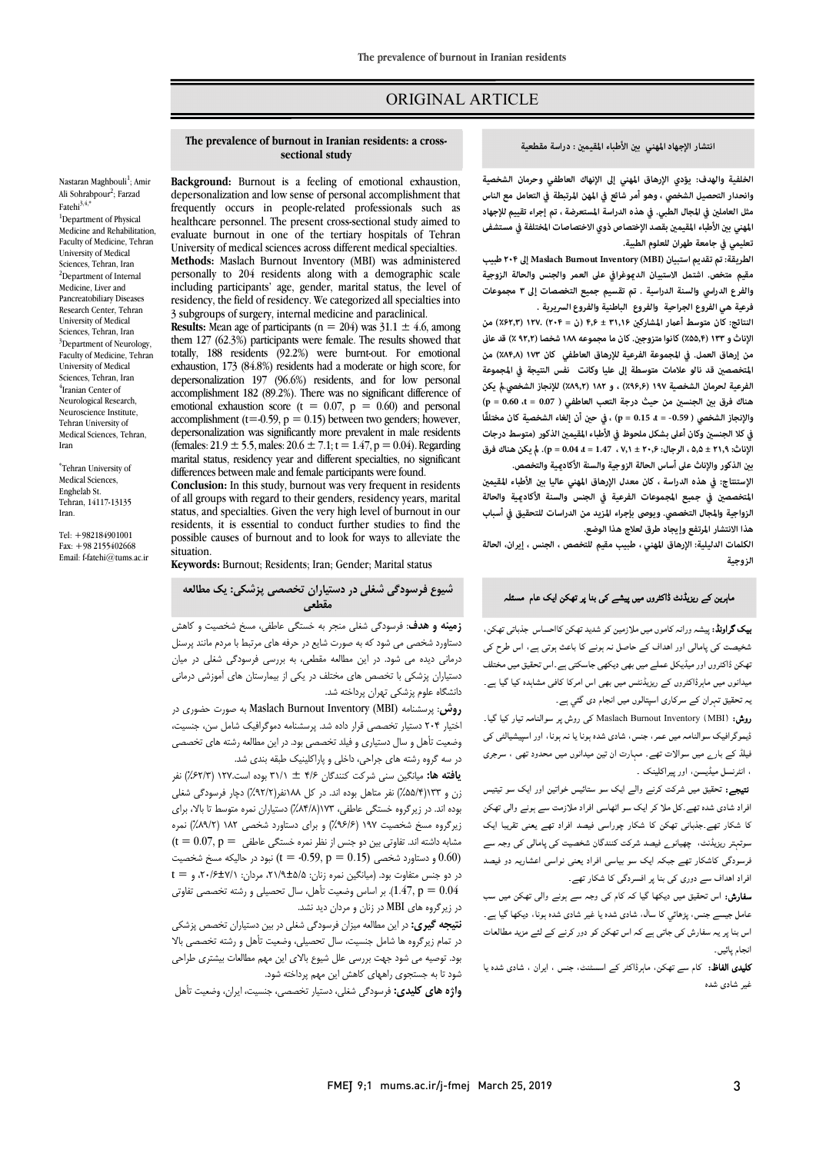# ORIGINAL ARTICLE

### انتشار الإجهاد المهني بين الأطباء المقيمين : دراسة مقطعية

Ī 

# **الخلفية والهدف: يؤدي الإرهاق المهني إلى الإنهاك العاطفي وحرمان الشخصية مثل العامل في المجال الطبي. في هذه الدراسة المستعرضة ، تم إجراء تقييم للإجهاد المهني ب الأ طباء المقيم بقصد الإختصاص ذوي الاختصاصات المختلفة في مستشفى تعليمي في جامعة طهران للعلوم الطبية. وانحدار التحصيل الشخصي ، وهو أمر شائع في المهن المرتبطة في التعامل مع الناس**

 **الطريقة: تم تقديم استبيان (MBI (Inventory Burnout Maslachإلى ۲۰۴ طبيب والفرع الدراسي والسنة الدراسية . تم تقسيم جميع التخصصات إلى ۳ مجموعات فرعية هي الفروع الجراحية والفروع الباطنية و الفروع السريرية . مقيم متخص. اشتمل الاستبيان الدوغرافي على العمر والجنس والحالة الزوجية**

 **النتائج: كان متوسط أعر المشارك ۳۱٫۱۶ ± ۴٫۶ (ن = ۲۰۴) ۱۲۷. (٪۶۲٫۳) من من إرهاق العمل. في المجموعة الفرعية للإرهاق العاطفي كان ۱۷۳ (٪۸۴٫۸) من المتخصص قد نالو علامات متوسطة إلى عليا وكانت نفس النتيجة في المجموعة الفرعية لحرمان الشخصية ۱۹۷ (٪۹۶٫۶) ، و ۱۸۲ (٪۸۹٫۲) للإنجاز الشخصي. يكن هناك فرق ب الجنس من حيث درجة التعب العاطفي ( 0.07 = t، 0.60 = p ( في كلا الجنس وكان أعلى بشكل ملحوظ في الأ طباء المقيم الذكور (متوسط درجات الإناث: ۲۱٫۹ ± ،۵٫۵ الرجال: ۲۰٫۶ ± ،۷٫۱ 1.47 = t0.04، = p(. يكن هناك فرق ب الذ كور والإناث على أساس الحالة الزوجية والسنة الأكادية والتخصص. الإناثو۱۳۳(٪۵۵٫۴) كانوامتزوج. كان مامجموعه۱۸۸ شخصا (٪۹۲٫۲) قدعا والإنجاز الشخصي ( -0.59 = t، 0.15 = p (، في ح أن إلغاء الشخصية كان مختلفًا**

 **الإستنتاج: في هذه الدراسة ، كان معدل الإرهاق المهني عاليا ب الأطباء المقيم الزواجية والمجال التخصصي. ويوصى بإجراء المزيد من الدراسات للتحقيق في أسباب هذا الانتشار المرتفع وإيجاد طرق لعلاج هذا الوضع.** المتخصصين في جميع المجموعات الفرعية في الجنس والسنة الأكاد<u>مي</u>ة والحالة

 **الکلمات الدليلية: الإرهاق المهني ، طبيب مقيم للتخصص ، الجنس ، إيران، الحالة الزوجیة**

# ماہرین کے ریزیڈنٹ ڈاکٹروں میں پیشے کی بنا پر تھکن ایک عام مسئلہ<br>۔

**یک گراونڈ:** پیشہ ورانہ کاموں میں ملازمین کو شدید تھکن کااحساس جذباتی تھکن، شخیصت کی پامالی اور اہداف کے حاصل نہ ہونے کا باعث ہوتی ہے، اس طرح کی نھکن ڈاکٹروں اور میڈیکل عملے میں بھی دیکھی جاسکتی ہے ـ اس تحقیق میں مختلف میدانوں میں ماہرڈاکٹروں کے ریزیڈنٹس میں بھی اس امرکا کافی مشاہدہ کیا گیا ہے۔ بہ تحقیق تہران کے سرکاری اسپتالوں میں انجام دی گئي ہے۔

**روش:** (MBI) (MBI کی روش پر سوالنامہ تیار کیا گیا۔<br>اسمبر بیس مراتیات سواسامہ میں حس، جسن، سادی سدہ ہوت یا تم ہوت ، اور اسپیسیاسی ہی<br>فیلڈ کے بارے میں سوالات تھے۔ مہارت ان تین میدانوں میں محدود تھی۔، سرجری ۔<br>، انٹرنسل میڈیسن، اور پیراکلینک ۔ ڈیموگرافیک سوالنامہ میں عمر، جنس، شادی شدہ ہونا یا نہ ہونا، اور اسپیشیالٹی کی

.<br>**نتیجے:** تحقیق میں شرکت کرنے والے ایک سو ستائیس خواتین اور ایک سو تیتیس افراد شادی شدہ تھے<sub>۔</sub>کل ملا کر ایک سو اٹھاسی افراد ملازمت سے ہونے والی تھکن کا شکار تھے۔جذبانی تھکن کا شکار چوراسی فیصد افراد تھے یعنی تقریبا ایک سوتہتر ریزیڈنٹ، چھیانوے فیصد شرکت کنندگان شخصیت کی پامالی کی وجہ سے فرسودگی کاشکار تھے جبکہ ایک سو بیاسی افراد یعنی نواسی اعشاریہ دو فیصد<br>. افراد اہداف سے دوری کی بنا پر افسردگی کا شکار تھے۔

**سفارش:** اس تحقیق میں دیکھا گیا کہ کام کی وجہ سے ہونے والی تھکن میں سب<br>ماما Ì. اس بنا پر یہ سفارش کی جاتی ہے کہ اس تھکن کو دور کرنے کے لئے مزید مطالعات<br>تعلی بائی عامل جیسے جنس، پڑھائی کا سال، شادی شدہ یا غیر شادی شدہ ہونا، دیکھا گیا ہے۔ انجام يائيں۔

**تلیدی الفاظ:** کام سے تھکن، ماہرڈاکٹر کے اسسٹنٹ، جنس ، ایران ، شادی شدہ یا .<br>غدا شاد*ی* شدہ

 **Background:** Burnout is a feeling of emotional exhaustion, frequently occurs in people-related professionals such as healthcare personnel. The present cross-sectional study aimed to University of medical sciences across different medical specialties. **Methods:** Maslach Burnout Inventory (MBI) was administered depersonalization and low sense of personal accomplishment that evaluate burnout in one of the tertiary hospitals of Tehran

**The prevalence of burnout in Iranian residents: a cross-**

**sectional study**

Ī 

 including participants' age, gender, marital status, the level of residency, the field of residency. We categorized all specialties into<br>3 subgroups of surgery, internal medicine and paraelinical **Results:** Mean age of participants ( $n = 204$ ) was  $31.1 \pm 4.6$ , among personally to 204 residents along with a demographic scale 3 subgroups of surgery, internal medicine and paraclinical. them 127 (62.3%) participants were female. The results showed that

them 12/ (02.5%) participants were temate. The results showed that<br>totally, 188 residents (92.2%) were burnt-out. For emotional exhaustion, 173 (84.8%) residents had a moderate or high score, for depersonalization 19/ (90.0%) residents, and for low personal<br>accomplishment 182 (89.2%). There was no significant difference of emotional exhaustion score (t = 0.07,  $p = 0.60$ ) and personal  $\alpha$  decomplishment ( $(-0.99, p - 0.19)$  between two gentiers; nowever, depersonalization was significantly more prevalent in male residents (females: 21.9  $\pm$  5.5, males: 20.6  $\pm$  7.1; t = 1.47, p = 0.04). Regarding differences between male and female participants were found. depersonalization 197 (96.6%) residents, and for low personal accomplishment (t=-0.59,  $p = 0.15$ ) between two genders; however, marital status, residency year and different specialties, no significant

 **Conclusion:** In this study, burnout was very frequent in residents or an groups with regard to their genders, residency years, marital<br>status, and specialties. Given the very high level of burnout in our residents, it is essential to conduct further studies to find the possible causes of burnout and to look for ways to alleviate the of all groups with regard to their genders, residency years, marital situation.

**Keywords:** Burnout; Residents; Iran; Gender; Marital status

 **شیوع فرسودگی شغلی در دستیاران تخصصی پزشکی: یک مطالعه مقطعی**

 **زمینه و هدف**: فرسودگی شغلی منجر به خستگی عاطفی، مسخ شخصیت و کاهش دستاورد شخصی می شود که به صورت شایع در حرفه هاي مرتبط با مردم مانند پرسنل درمانی دیده می شود. در این مطالعه مقطعی، به بررسی فرسودگی شغلی در میان <sub>ن</sub>ستیران پرستی با تخصص<br>دانشگاه علوم پزشکی تهران پرداخته شد. دستیاران پزشکی با تخصص هاي مختلف در یکی از بیمارستان هاي آموزشی درمانی

ر<br>**روش:** پرسشنامه Maslach Burnout Inventory (MBI) به صورت حضوری در اختیار 204 دستیار تخصصی قرار داده شد. پرسشنامه دموگرافیک شامل سن، جنسیت، وضعیت تأهل و سال دستیاري و فیلد تخصصی بود. در این مطالعه رشته هاي تخصصی در سه گروه رشته هاي جراحي، داخلي و پاراکلينيک طبقه بندي شد.<br>مد

 زن و 133(%55/4) نفر متاهل بوده اند. در کل 188نفر(%92/2) دچار فرسودگی شغلی برد بر در زیرگروه خستگی عاطفی، ۱۷۳(۸۴۸٪) دستیاران نمره متوسط تا بالا، برای<br>بوده اند. در زیرگروه خستگی عاطفی، ۱۷۳(۸۴۸٪) دستیاران نمره متوسط تا بالا، برای زیرگروه مسخ شخصیت 197 (%96/6) و براي دستاورد شخصی 182 (%89/2) نمره  ${\rm (t=0.07,\, p=\,d}$ مشابه داشته اند. تفاوتی بین دو جنس از نظر نمره خستگی عاطفی و دستاورد شخصی (1.50 = 0.59) بن فردر حالیکه مسخ شخصیت (1.60 = t) e بنود در حالیکه مسخ شخصیت ( ر تو جس مسوت بود. استان تمرد زمان شاهاست ۱۰۰۰ مردان ۱۰۰۰ – ۱۰۰۰ و ۲۰۰۰ -<br>1.47, p = 0.04). بر اساس وضعیت تأهل، سال تحصیلی و رشته تخصصی تفاوتی در زیرگروه هاي MBI در زنان و مردان دید نشد. **یافته ها:** میانگین سنی شرکت کنندگان 4/6 ± 31/1 بوده است127. (%62/3) نفر  $t = r$ ۰/۶±۷/۱ مردان: ۲۰/۶±۷/۱ میانگین نمره زنان: ۰/۹±۵/۵ مردان: ۰/۶±۲/۶

 **نتیجه گیري:** در این مطالعه میزان فرسودگی شغلی در بین دستیاران تخصص پزشکی در تمام زیرگروه ها شامل جنسیت، سال تحصیلی، وضعیت تأهل و رشته تخصصی بالا بود. توصیه می شود جهت بررسی علل شیوع بالاي این مهم مطالعات بیشتري طراحی شود تا به جستجوي راههاي کاهش این مهم پرداخته شود.

 $\overline{\phantom{a}}$ **واژه هاي کلیدي:** فرسودگی شغلی، دستیار تخصصی، جنسیت، ایران، وضعیت تأهل

Ali Sohrabpour<sup>2</sup>; Farzad Fatehi $3,4,$ \* <sup>1</sup>Department of Physical Medicine and Rehabilitation, Faculty of Medicine, Tehran University of Medical Sciences, Tehran, Iran <sup>2</sup>Department of Internal Medicine, Liver and Pancreatobiliary Diseases Research Center, Tehran University of Medical Sciences, Tehran, Iran <sup>3</sup>Department of Neurology, Faculty of Medicine, Tehran University of Medical Sciences, Tehran, Iran 4 Iranian Center of Neurological Research, Neuroscience Institute,

Nastaran Maghbouli<sup>1</sup>; Amir

\* Tehran University of Medical Sciences, Enghelab St. Tehran, 14117-13135 Iran.

Tehran University of Medical Sciences, Tehran,

Iran

Tel: +982184901001 Fax: +98 2155402668 Email: f-fatehi@tums.ac.ir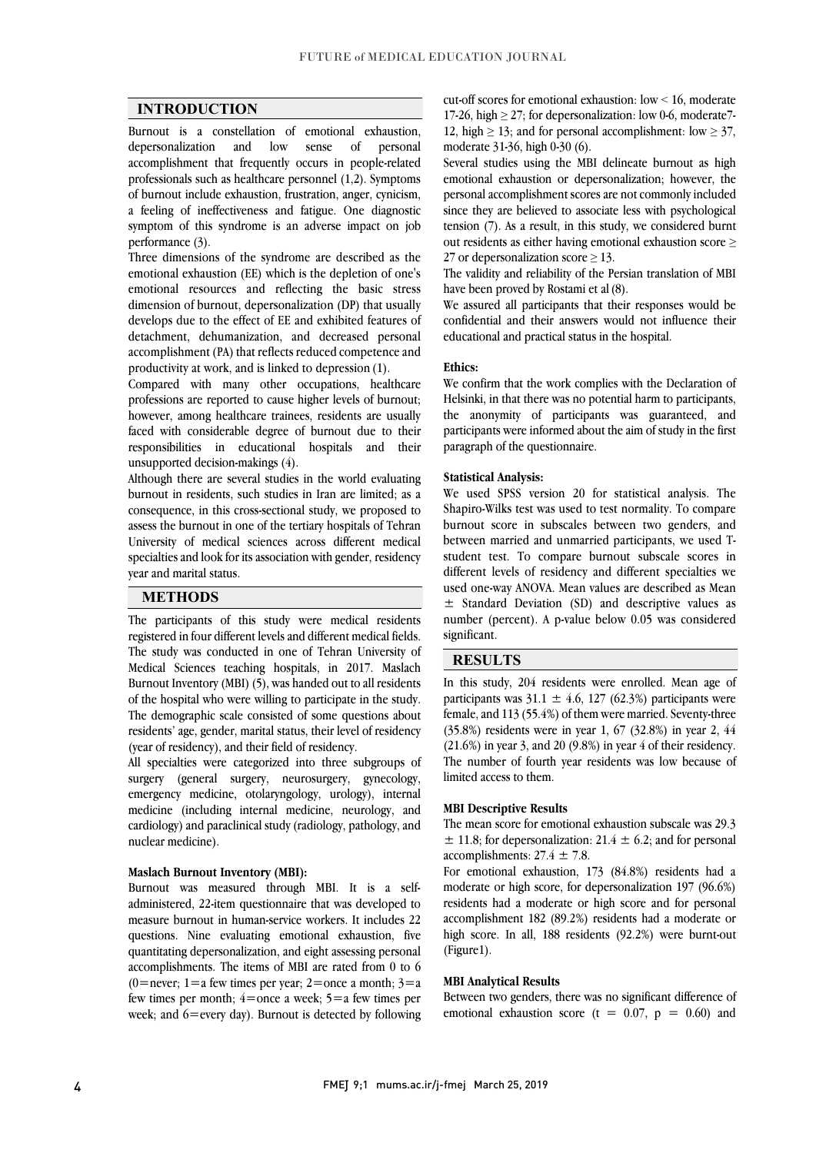## **INTRODUCTION**

 Burnout is a constellation of emotional exhaustion, personal accomplishment that frequently occurs in people-related processionals such as healthcare personner (1,2). Symptons<br>of burnout include exhaustion, frustration, anger, cynicism, a feeling of ineffectiveness and fatigue. One diagnostic symptom of this syndrome is an adverse impact on job depersonalization and low sense of professionals such as healthcare personnel (1,2). Symptoms performance (3).

pertormance (3).<br>Three dimensions of the syndrome are described as the emotional exhaustion (EE) which is the depletion of one's emotional resources and reflecting the basic stress dimension of burnout, depersonalization (DP) that usually develops due to the effect of EE and exhibited features of accomplishment (PA) that reflects reduced competence and detachment, dehumanization, and decreased personal productivity at work, and is linked to depression (1).

 Compared with many other occupations, healthcare professions are reported to cause higher levels of burnout; faced with considerable degree of burnout due to their responsibilities in educational hospitals and their however, among healthcare trainees, residents are usually unsupported decision-makings (4).

Although there are several studies in the world evaluating<br>hypnovities residents such studies in Inc. are limited as a consequence, in this cross-sectional study, we proposed to assess the burnout in one of the tertiary hospitals of Tehran University of medical sciences across different medical specialties and look for its association with gender, residency<br>year and marital status i, burnout in residents, such studies in Iran are limited; as a year and marital status.

# **METHODS**

 The participants of this study were medical residents The study was conducted in one of Tehran University of Medical Sciences teaching hospitals, in 2017. Maslach Burnout Inventory (MBI) (5), was handed out to all residents of the hospital who were willing to participate in the study. residents' age, gender, marital status, their level of residency ľ registered in four different levels and different medical fields. The demographic scale consisted of some questions about (year of residency), and their field of residency.

 All specialties were categorized into three subgroups of surgery (general surgery, neurosurgery, gynecology, medicine (including internal medicine, neurology, and cardiology) and paraclinical study (radiology, pathology, and emergency medicine, otolaryngology, urology), internal nuclear medicine).

#### **Maslach Burnout Inventory (MBI):**

 Burnout was measured through MBI. It is a self- administered, 22-item questionnaire that was developed to measure burnout in human-service workers. It includes 22 quantitating depersonalization, and eight assessing personal accomplishments. The items of MBI are rated from 0 to 6 (0=never;  $1=a$  few times per year;  $2=$ once a month;  $3=a$ few times per month;  $4=$ once a week;  $5=$ a few times per week; and 6=every day). Burnout is detected by following questions. Nine evaluating emotional exhaustion, five

17-26, high  $\geq$  27; for depersonalization: low 0-6, moderate7-12, high  $\geq$  13; and for personal accomplishment: low  $\geq$  37, cut-off scores for emotional exhaustion: low < 16, moderate moderate 31-36, high 0-30 (6).

 Several studies using the MBI delineate burnout as high personal accomplishment scores are not commonly included since they are believed to associate less with psychological tension (7). As a result, in this study, we considered burnt out residents as either having emotional exhaustion score  $\geq$ emotional exhaustion or depersonalization; however, the 27 or depersonalization score  $\geq$  13.

 $\frac{2}{\sqrt{2}}$  or dependently and reliability of the Persian translation of MBI have been proved by Rostami et al (8).

 We assured all participants that their responses would be confidential and their answers would not influence their educational and practical status in the hospital.

#### **Ethics:**

 We confirm that the work complies with the Declaration of the anonymity of participants was guaranteed, and participants were informed about the aim of study in the first Helsinki, in that there was no potential harm to participants, paragraph of the questionnaire.

#### **Statistical Analysis:**

 We used SPSS version 20 for statistical analysis. The Shapiro-Wilks test was used to test normality. To compare burnout score in subscales between two genders, and between married and unmarried participants, we used T- different levels of residency and different specialties we used one-way ANOVA. Mean values are described as Mean ± Standard Deviation (SD) and descriptive values as number (percent). A p-value below 0.05 was considered student test. To compare burnout subscale scores in significant.

#### **RESULTS**

 In this study, 204 residents were enrolled. Mean age of participants was  $31.1 \pm 4.0$ ,  $12/ (02.3\%)$  participants were<br>female, and 113 (55.4%) of them were married. Seventy-three (35.8%) residents were in year 1, 67 (32.8%) in year 2, 44 (21.6%) in year 3, and 20 (9.8%) in year 4 of their residency. The number of fourth year residents was low because of participants was  $31.1 \pm 4.6$ , 127 (62.3%) participants were limited access to them.

 $\overline{a}$ 

#### **MBI Descriptive Results**

 The mean score for emotional exhaustion subscale was 29.3  $\pm$  11.8; for depersonalization: 21.4  $\pm$  6.2; and for personal accomplishments:  $27.4 \pm 7.8$ .

For emotional exhaustion,  $173$  (84.8%) residents had a moderate or high score, for depersonalization 197 (96.6%) residents had a moderate or high score and for personal accomplishment 182 (89.2%) residents had a moderate or high score. In all, 188 residents (92.2%) were burnt-out (Figure1).

#### **MBI Analytical Results**

 $\overline{\phantom{a}}$ emotional exhaustion score ( $t = 0.07$ ,  $p = 0.60$ ) and Between two genders, there was no significant difference of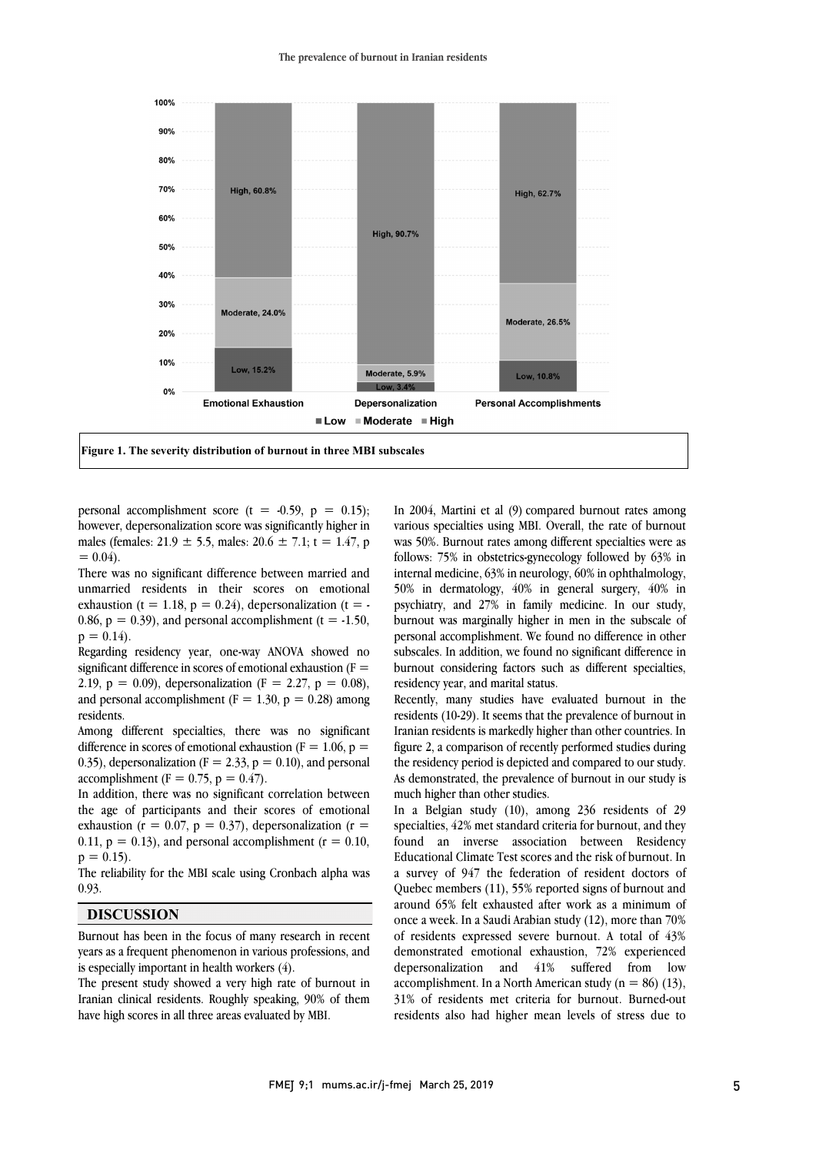#### **The prevalence of burnout in Iranian residents**



l

personal accomplishment score  $(t = -0.59, p = 0.15)$ ; however, depersonalization score was significantly higher in males (females:  $21.9 \pm 5.5$ , males:  $20.6 \pm 7.1$ ; t = 1.47, p  $= 0.04$ .

 There was no significant difference between married and unmarried residents in their scores on emotional exhaustion (t = 1.18,  $p = 0.24$ ), depersonalization (t = -0.86,  $p = 0.39$ ), and personal accomplishment (t = -1.50,  $p = 0.14$ .

 Regarding residency year, one-way ANOVA showed no significant difference in scores of emotional exhaustion ( $F =$ 2.19,  $p = 0.09$ ), depersonalization (F = 2.27,  $p = 0.08$ ), and personal accomplishment ( $F = 1.30$ ,  $p = 0.28$ ) among residents.

 Among different specialties, there was no significant difference in scores of emotional exhaustion ( $F = 1.06$ ,  $p =$ 0.35), depersonalization ( $F = 2.33$ ,  $p = 0.10$ ), and personal accomplishment ( $F = 0.75$ ,  $p = 0.47$ ).

accomplishment ( $\mathbf{r} = 0.75$ ,  $\mathbf{p} = 0.47$ ).<br>In addition, there was no significant correlation between the age of participants and their scores of emotional exhaustion ( $r = 0.07$ ,  $p = 0.37$ ), depersonalization ( $r =$ 0.11,  $p = 0.13$ ), and personal accomplishment ( $r = 0.10$ , J  $p = 0.15$ .

The reliability for the MBI scale using Cronbach alpha was 0.93 0.93.

## **DISCUSSION**

 $\overline{a}$  years as a frequent phenomenon in various professions, and Burnout has been in the focus of many research in recent is especially important in health workers (4).

 The present study showed a very high rate of burnout in Iranian clinical residents. Roughly speaking, 90% of them have high scores in all three areas evaluated by MBI.

 In 2004, Martini et al (9) compared burnout rates among various specialties using MBI. Overall, the rate of burnout was 50%. Burnout rates among different specialties were as internal medicine, 63% in neurology, 60% in ophthalmology, 50% in dermatology, 40% in general surgery, 40% in psychiatry, and 27% in family medicine. In our study, burnout was marginally higher in men in the subscale of subscales. In addition, we found no significant difference in burnout considering factors such as different specialties, follows: 75% in obstetrics-gynecology followed by 63% in personal accomplishment. We found no difference in other residency year, and marital status.

 $\overline{a}$ 

recently, many studies have evaluated burnout in the residents (10-29). It seems that the prevalence of burnout in Iranian residents is markedly higher than other countries. In figure 2, a comparison of recently performed studies during the residency period is depicted and compared to our study. As demonstrated, the prevalence of burnout in our study is<br>mych higher than other studies Recently, many studies have evaluated burnout in the much higher than other studies.

 In a Belgian study (10), among 236 residents of 29 specialties, 42% met standard criteria for burnout, and they found an inverse association between Residency a survey of 947 the federation of resident doctors of Quebec members (11), 55% reported signs of burnout and around 65% felt exhausted after work as a minimum of once a week. In a Saudi Arabian study (12), more than 70% demonstrated emotional exhaustion, 72% experienced depersonalization and 41% suffered from low accomplishment. In a North American study ( $n = 86$ ) (13), 31% of residents met criteria for burnout. Burned-out residents also had higher mean levels of stress due to Educational Climate Test scores and the risk of burnout. In of residents expressed severe burnout. A total of 43%

j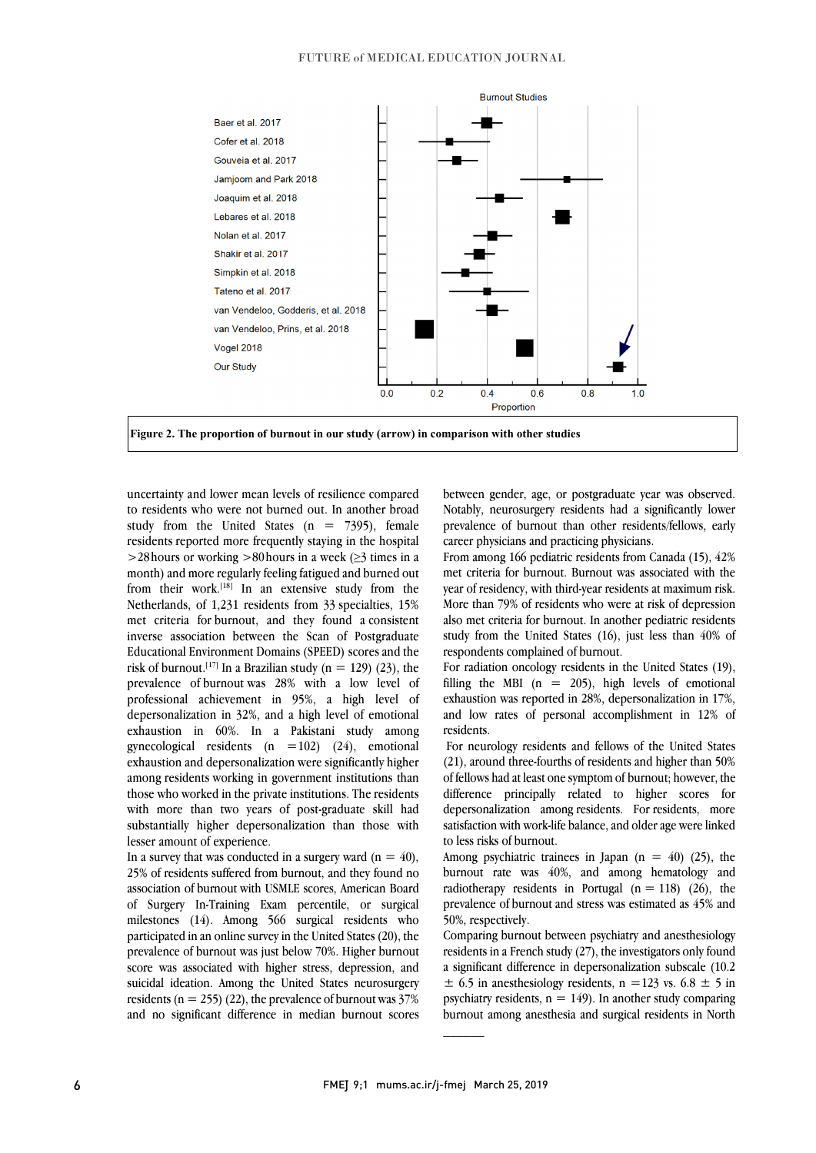



 uncertainty and lower mean levels of resilience compared to residents who were not burned out. In another broad study from the United States ( $n = 7395$ ), female residents reported more frequently staying in the hospital residents reported more frequently staying in the hospital  $\frac{25}{2}$  and the working  $\frac{25}{2}$  on outs in a week ( $\frac{25}{2}$  times in a month) and more regularly feeling fatigued and burned out from their work.<sup>[18]</sup> In an extensive study from the Netherlands, of 1,231 residents from 33 specialties, 15% met criteria for burnout, and they found a consistent Educational Environment Domains (SPEED) scores and the risk of burnout.<sup>[17]</sup> In a Brazilian study (n = 129) (23), the prevalence of burnout was 28% with a low level of professional achievement in 95%, a high level of exhaustion in 60%. In a Pakistani study among gynecological residents  $(n = 102)$   $(24)$ , emotional exhaustion and depersonalization were significantly higher among residents working in government institutions than with more than two years of post-graduate skill had substantially higher depersonalization than those with  $>$ 28 hours or working  $>$ 80 hours in a week ( $\geq$ 3 times in a inverse association between the Scan of Postgraduate depersonalization in 32%, and a high level of emotional those who worked in the private institutions. The residents lesser amount of experience.

In a survey that was conducted in a surgery ward  $(n = 40)$ , association of burnout with USMLE scores, American Board of Surgery In-Training Exam percentile, or surgical milestones (14). Among 566 surgical residents who participated in an online survey in the officed states (20), the<br>prevalence of burnout was just below 70%. Higher burnout score was associated with higher stress, depression, and suicidal ideation. Among the United States neurosurgery residents ( $n = 255$ ) (22), the prevalence of burnout was 37% and no significant difference in median burnout scores 25% of residents suffered from burnout, and they found no participated in an online survey in the United States (20), the

 between gender, age, or postgraduate year was observed. Notably, neurosurgery residents had a significantly lower prevalence of burnout than other residents/fellows, early career physicians and practicing physicians.

 $\overline{\phantom{a}}$ 

From among Too pediatric residents from canada  $(1)$ ,  $72\%$  met criteria for burnout. Burnout was associated with the year of residency, with third-year residents at maximum risk. More than 79% of residents who were at risk of depression also met criteria for burnout. In another pediatric residents study from the United States (16), just less than 40% of<br>respondents complained of burnout From among 166 pediatric residents from Canada (15), 42% respondents complained of burnout.

 For radiation oncology residents in the United States (19), filling the MBI  $(n = 205)$ , high levels of emotional exhaustion was reported in 28%, depersonalization in 17%, and low rates of personal accomplishment in 12% of residents.

 For neurology residents and fellows of the United States (21), around three-fourths of residents and higher than 50% of fellows had at least one symptom of burnout; however, the depersonalization among residents. For residents, more satisfaction with work-life balance, and older age were linked difference principally related to higher scores for to less risks of burnout.

Among psychiatric trainees in Japan  $(n = 40)$  (25), the radiotherapy residents in Portugal  $(n = 118)$  (26), the prevalence of burnout and stress was estimated as 45% and burnout rate was 40%, and among hematology and 50%, respectively.

 residents in a French study (27), the investigators only found a significant difference in depersonalization subscale (10.2  $\pm$  6.5 in anesthesiology residents, n = 123 vs. 6.8  $\pm$  5 in psychiatry residents,  $n = 149$ ). In another study comparing burnout among anesthesia and surgical residents in North Comparing burnout between psychiatry and anesthesiology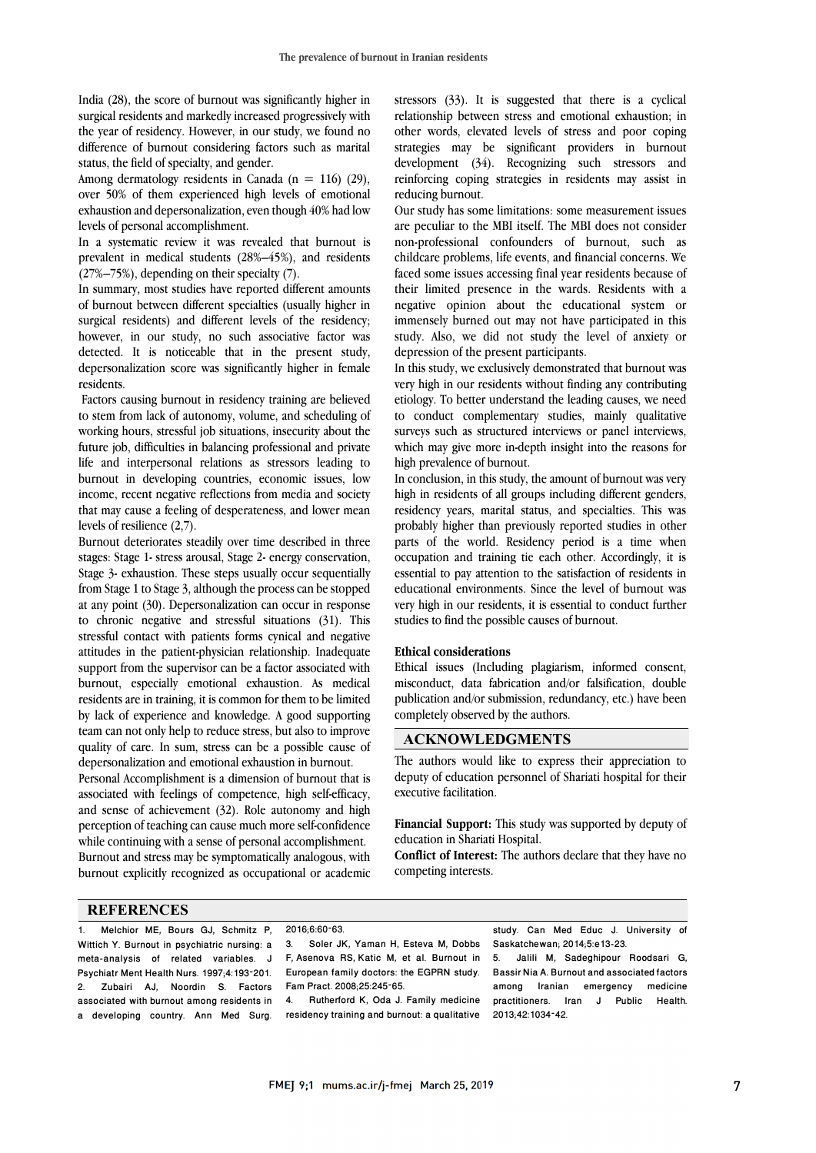India (28), the score of burnout was significantly higher in surgical residents and markedly increased progressively with the year of residency. However, in our study, we found no difference of burnout considering factors such as marital status, the field of specialty, and gender.

Among dermatology residents in Canada ( $n = 116$ ) (29), over 50% of them experienced high levels of emotional exhaustion and depersonalization, even though 40% had low levels of personal accomplishment.

In a systematic review it was revealed that burnout is prevalent in medical students (28%–45%), and residents (27%–75%), depending on their specialty (7).

In summary, most studies have reported different amounts of burnout between different specialties (usually higher in surgical residents) and different levels of the residency; however, in our study, no such associative factor was detected. It is noticeable that in the present study, depersonalization score was significantly higher in female residents.

Factors causing burnout in residency training are believed to stem from lack of autonomy, volume, and scheduling of working hours, stressful job situations, insecurity about the future job, difficulties in balancing professional and private life and interpersonal relations as stressors leading to burnout in developing countries, economic issues, low income, recent negative reflections from media and society that may cause a feeling of desperateness, and lower mean levels of resilience (2,7).

Burnout deteriorates steadily over time described in three stages: Stage 1- stress arousal, Stage 2- energy conservation, Stage 3- exhaustion. These steps usually occur sequentially from Stage 1 to Stage 3, although the process can be stopped at any point (30). Depersonalization can occur in response to chronic negative and stressful situations (31). This stressful contact with patients forms cynical and negative attitudes in the patient-physician relationship. Inadequate support from the supervisor can be a factor associated with burnout, especially emotional exhaustion. As medical residents are in training, it is common for them to be limited by lack of experience and knowledge. A good supporting team can not only help to reduce stress, but also to improve quality of care. In sum, stress can be a possible cause of depersonalization and emotional exhaustion in burnout.

Personal Accomplishment is a dimension of burnout that is associated with feelings of competence, high self-efficacy, and sense of achievement (32). Role autonomy and high perception of teaching can cause much more self-confidence while continuing with a sense of personal accomplishment. Burnout and stress may be symptomatically analogous, with burnout explicitly recognized as occupational or academic stressors (33). It is suggested that there is a cyclical relationship between stress and emotional exhaustion; in other words, elevated levels of stress and poor coping strategies may be significant providers in burnout development (34). Recognizing such stressors and reinforcing coping strategies in residents may assist in reducing burnout.

Our study has some limitations: some measurement issues are peculiar to the MBI itself. The MBI does not consider non-professional confounders of burnout, such as childcare problems, life events, and financial concerns. We faced some issues accessing final year residents because of their limited presence in the wards. Residents with a negative opinion about the educational system or immensely burned out may not have participated in this study. Also, we did not study the level of anxiety or depression of the present participants.

In this study, we exclusively demonstrated that burnout was very high in our residents without finding any contributing etiology. To better understand the leading causes, we need to conduct complementary studies, mainly qualitative surveys such as structured interviews or panel interviews, which may give more in-depth insight into the reasons for high prevalence of burnout.

In conclusion, in this study, the amount of burnout was very high in residents of all groups including different genders, residency years, marital status, and specialties. This was probably higher than previously reported studies in other parts of the world. Residency period is a time when occupation and training tie each other. Accordingly, it is essential to pay attention to the satisfaction of residents in educational environments. Since the level of burnout was very high in our residents, it is essential to conduct further studies to find the possible causes of burnout.

#### **Ethical considerations**

Ethical issues (Including plagiarism, informed consent, misconduct, data fabrication and/or falsification, double publication and/or submission, redundancy, etc.) have been completely observed by the authors.

## **ACKNOWLEDGMENTS**

The authors would like to express their appreciation to deputy of education personnel of Shariati hospital for their executive facilitation.

**Financial Support:** This study was supported by deputy of education in Shariati Hospital.

**Conflict of Interest:** The authors declare that they have no competing interests.

#### **REFERENCES**

1. Melchior ME, Bours GJ, Schmitz P, Wittich Y. Burnout in psychiatric nursing: a meta-analysis of related variables. J Psychiatr Ment Health Nurs. 1997;4:193–201. 2. Zubairi AJ, Noordin S. Factors associated with burnout among residents in a developing country. Ann Med Surg.

2016;6:60–63.

3. Soler JK, Yaman H, Esteva M, Dobbs F, Asenova RS, Katic M, et al. Burnout in European family doctors: the EGPRN study. Fam Pract. 2008;25:245–65.

4. Rutherford K, Oda J. Family medicine residency training and burnout: a qualitative

study. Can Med Educ J. University of Saskatchewan; 2014;5:e13-23.

5. Jalili M, Sadeghipour Roodsari G, Bassir Nia A. Burnout and associated factors among Iranian emergency medicine practitioners. Iran J Public Health. 2013;42:1034–42.